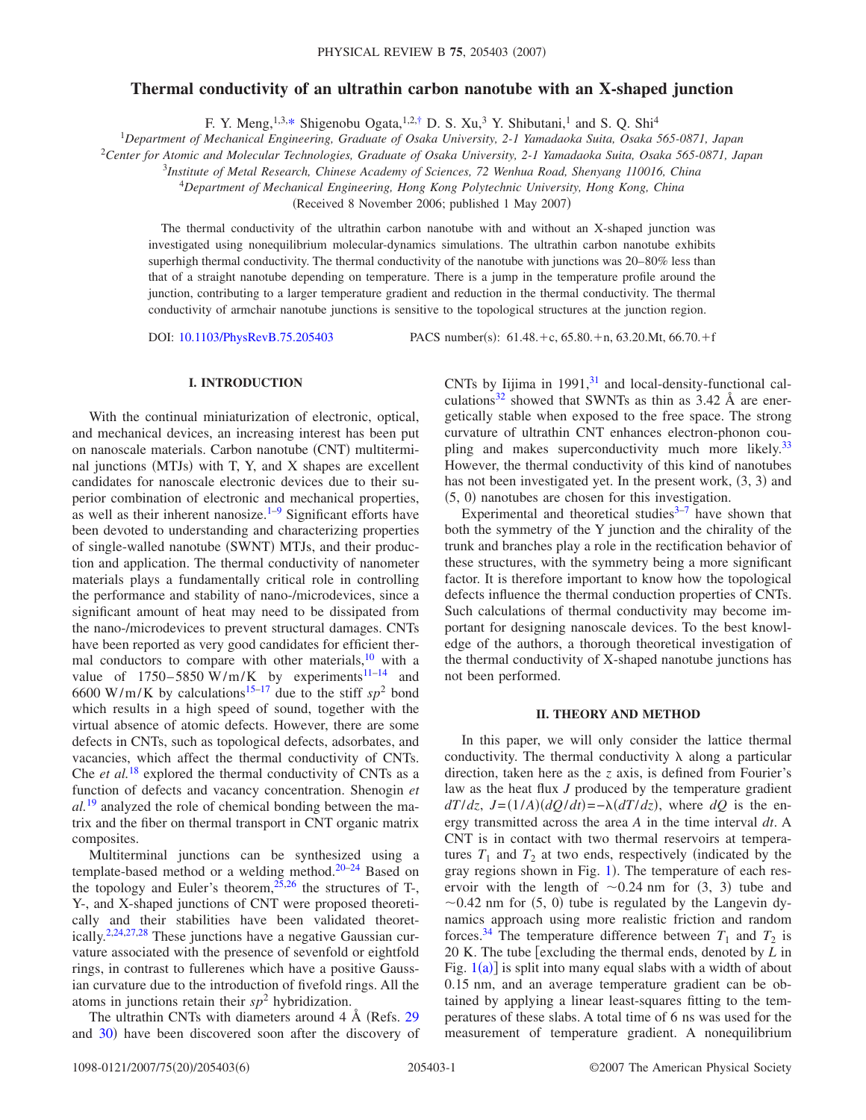# **Thermal conductivity of an ultrathin carbon nanotube with an X-shaped junction**

F. Y. Meng,  $1,3,*$  $1,3,*$  Shigenobu Ogata,  $1,2,*$  D. S. Xu,  $3$  Y. Shibutani,  $1$  and S. Q. Shi<sup>4</sup>

1 *Department of Mechanical Engineering, Graduate of Osaka University, 2-1 Yamadaoka Suita, Osaka 565-0871, Japan*

<sup>2</sup>*Center for Atomic and Molecular Technologies, Graduate of Osaka University, 2-1 Yamadaoka Suita, Osaka 565-0871, Japan*

3 *Institute of Metal Research, Chinese Academy of Sciences, 72 Wenhua Road, Shenyang 110016, China*

<sup>4</sup>*Department of Mechanical Engineering, Hong Kong Polytechnic University, Hong Kong, China*

(Received 8 November 2006; published 1 May 2007)

The thermal conductivity of the ultrathin carbon nanotube with and without an X-shaped junction was investigated using nonequilibrium molecular-dynamics simulations. The ultrathin carbon nanotube exhibits superhigh thermal conductivity. The thermal conductivity of the nanotube with junctions was  $20-80\%$  less than that of a straight nanotube depending on temperature. There is a jump in the temperature profile around the junction, contributing to a larger temperature gradient and reduction in the thermal conductivity. The thermal conductivity of armchair nanotube junctions is sensitive to the topological structures at the junction region.

DOI: [10.1103/PhysRevB.75.205403](http://dx.doi.org/10.1103/PhysRevB.75.205403)

PACS number(s):  $61.48.+c$ ,  $65.80.+n$ ,  $63.20.Mt$ ,  $66.70.+f$ 

### **I. INTRODUCTION**

With the continual miniaturization of electronic, optical, and mechanical devices, an increasing interest has been put on nanoscale materials. Carbon nanotube (CNT) multiterminal junctions (MTJs) with T, Y, and X shapes are excellent candidates for nanoscale electronic devices due to their superior combination of electronic and mechanical properties, as well as their inherent nanosize. $1-9$  Significant efforts have been devoted to understanding and characterizing properties of single-walled nanotube (SWNT) MTJs, and their production and application. The thermal conductivity of nanometer materials plays a fundamentally critical role in controlling the performance and stability of nano-/microdevices, since a significant amount of heat may need to be dissipated from the nano-/microdevices to prevent structural damages. CNTs have been reported as very good candidates for efficient thermal conductors to compare with other materials, $10$  with a value of  $1750-5850$  W/m/K by experiments<sup>11-14</sup> and 6600 W/m/K by calculations<sup>15-[17](#page-4-8)</sup> due to the stiff  $sp^2$  bond which results in a high speed of sound, together with the virtual absence of atomic defects. However, there are some defects in CNTs, such as topological defects, adsorbates, and vacancies, which affect the thermal conductivity of CNTs. Che *et al.*[18](#page-4-9) explored the thermal conductivity of CNTs as a function of defects and vacancy concentration. Shenogin *et al.*[19](#page-4-10) analyzed the role of chemical bonding between the matrix and the fiber on thermal transport in CNT organic matrix composites.

Multiterminal junctions can be synthesized using a template-based method or a welding method.<sup>20[–24](#page-4-12)</sup> Based on the topology and Euler's theorem,  $^{25,26}$  $^{25,26}$  $^{25,26}$  the structures of T-, Y-, and X-shaped junctions of CNT were proposed theoretically and their stabilities have been validated theoret-ically.<sup>2,[24](#page-4-12)[,27,](#page-4-16)[28](#page-4-17)</sup> These junctions have a negative Gaussian curvature associated with the presence of sevenfold or eightfold rings, in contrast to fullerenes which have a positive Gaussian curvature due to the introduction of fivefold rings. All the atoms in junctions retain their  $sp<sup>2</sup>$  hybridization.

The ultrathin CNTs with diameters around  $4 \text{ Å}$  (Refs. [29](#page-4-18)) and [30](#page-4-19)) have been discovered soon after the discovery of

CNTs by Iijima in  $1991<sup>31</sup>$  and local-density-functional calculations<sup>32</sup> showed that SWNTs as thin as  $3.42 \text{ Å}$  are energetically stable when exposed to the free space. The strong curvature of ultrathin CNT enhances electron-phonon coupling and makes superconductivity much more likely.<sup>33</sup> However, the thermal conductivity of this kind of nanotubes has not been investigated yet. In the present work, (3, 3) and  $(5, 0)$  nanotubes are chosen for this investigation.

Experimental and theoretical studies $3-7$  $3-7$  have shown that both the symmetry of the Y junction and the chirality of the trunk and branches play a role in the rectification behavior of these structures, with the symmetry being a more significant factor. It is therefore important to know how the topological defects influence the thermal conduction properties of CNTs. Such calculations of thermal conductivity may become important for designing nanoscale devices. To the best knowledge of the authors, a thorough theoretical investigation of the thermal conductivity of X-shaped nanotube junctions has not been performed.

### **II. THEORY AND METHOD**

In this paper, we will only consider the lattice thermal conductivity. The thermal conductivity  $\lambda$  along a particular direction, taken here as the *z* axis, is defined from Fourier's law as the heat flux *J* produced by the temperature gradient  $dT/dz$ ,  $J = (1/A)(dQ/dt) = -\lambda (dT/dz)$ , where  $dQ$  is the energy transmitted across the area *A* in the time interval *dt*. A CNT is in contact with two thermal reservoirs at temperatures  $T_1$  and  $T_2$  at two ends, respectively (indicated by the gray regions shown in Fig. [1](#page-1-0)). The temperature of each reservoir with the length of  $\sim 0.24$  nm for  $(3, 3)$  tube and  $\sim$  0.42 nm for (5, 0) tube is regulated by the Langevin dynamics approach using more realistic friction and random forces.<sup>34</sup> The temperature difference between  $T_1$  and  $T_2$  is 20 K. The tube [excluding the thermal ends, denoted by *L* in Fig.  $1(a)$  $1(a)$  is split into many equal slabs with a width of about 0.15 nm, and an average temperature gradient can be obtained by applying a linear least-squares fitting to the temperatures of these slabs. A total time of 6 ns was used for the measurement of temperature gradient. A nonequilibrium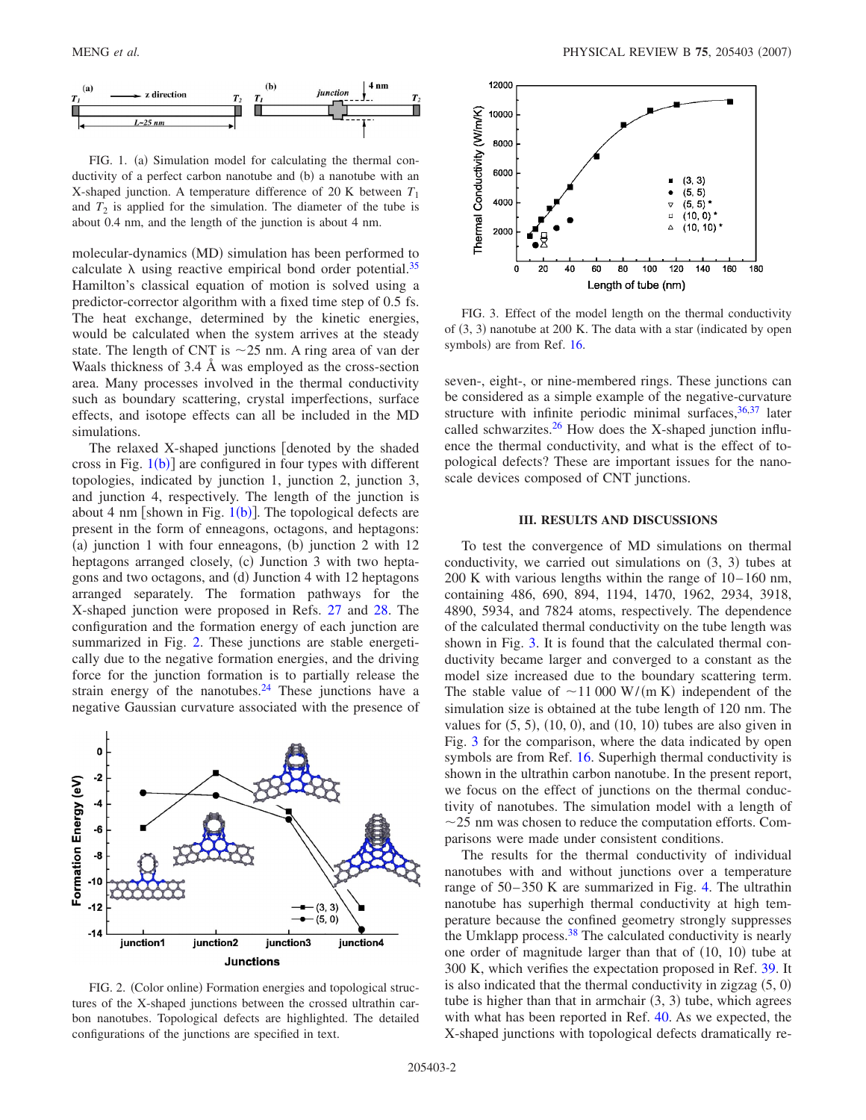<span id="page-1-0"></span>

FIG. 1. (a) Simulation model for calculating the thermal conductivity of a perfect carbon nanotube and (b) a nanotube with an X-shaped junction. A temperature difference of 20 K between  $T_1$ and  $T_2$  is applied for the simulation. The diameter of the tube is about 0.4 nm, and the length of the junction is about 4 nm.

molecular-dynamics (MD) simulation has been performed to calculate  $\lambda$  using reactive empirical bond order potential.<sup>35</sup> Hamilton's classical equation of motion is solved using a predictor-corrector algorithm with a fixed time step of 0.5 fs. The heat exchange, determined by the kinetic energies, would be calculated when the system arrives at the steady state. The length of CNT is  $\sim$  25 nm. A ring area of van der Waals thickness of 3.4 Å was employed as the cross-section area. Many processes involved in the thermal conductivity such as boundary scattering, crystal imperfections, surface effects, and isotope effects can all be included in the MD simulations.

The relaxed X-shaped junctions denoted by the shaded cross in Fig.  $1(b)$  $1(b)$ ] are configured in four types with different topologies, indicated by junction 1, junction 2, junction 3, and junction 4, respectively. The length of the junction is about 4 nm [shown in Fig.  $1(b)$  $1(b)$ ]. The topological defects are present in the form of enneagons, octagons, and heptagons: (a) junction 1 with four enneagons, (b) junction 2 with 12 heptagons arranged closely, (c) Junction 3 with two heptagons and two octagons, and (d) Junction 4 with 12 heptagons arranged separately. The formation pathways for the X-shaped junction were proposed in Refs. [27](#page-4-16) and [28.](#page-4-17) The configuration and the formation energy of each junction are summarized in Fig. [2.](#page-1-1) These junctions are stable energetically due to the negative formation energies, and the driving force for the junction formation is to partially release the strain energy of the nanotubes. $24$  These junctions have a negative Gaussian curvature associated with the presence of

<span id="page-1-1"></span>

FIG. 2. (Color online) Formation energies and topological structures of the X-shaped junctions between the crossed ultrathin carbon nanotubes. Topological defects are highlighted. The detailed configurations of the junctions are specified in text.

<span id="page-1-2"></span>

FIG. 3. Effect of the model length on the thermal conductivity of (3, 3) nanotube at 200 K. The data with a star (indicated by open symbols) are from Ref. [16.](#page-4-22)

seven-, eight-, or nine-membered rings. These junctions can be considered as a simple example of the negative-curvature structure with infinite periodic minimal surfaces,  $36,37$  $36,37$  later called schwarzites. $^{26}$  How does the X-shaped junction influence the thermal conductivity, and what is the effect of topological defects? These are important issues for the nanoscale devices composed of CNT junctions.

#### **III. RESULTS AND DISCUSSIONS**

To test the convergence of MD simulations on thermal conductivity, we carried out simulations on  $(3, 3)$  tubes at 200 K with various lengths within the range of 10–160 nm, containing 486, 690, 894, 1194, 1470, 1962, 2934, 3918, 4890, 5934, and 7824 atoms, respectively. The dependence of the calculated thermal conductivity on the tube length was shown in Fig. [3.](#page-1-2) It is found that the calculated thermal conductivity became larger and converged to a constant as the model size increased due to the boundary scattering term. The stable value of  $\sim$ 11 000 W/(m K) independent of the simulation size is obtained at the tube length of 120 nm. The values for  $(5, 5)$ ,  $(10, 0)$ , and  $(10, 10)$  tubes are also given in Fig. [3](#page-1-2) for the comparison, where the data indicated by open symbols are from Ref. [16.](#page-4-22) Superhigh thermal conductivity is shown in the ultrathin carbon nanotube. In the present report, we focus on the effect of junctions on the thermal conductivity of nanotubes. The simulation model with a length of  $\sim$ 25 nm was chosen to reduce the computation efforts. Comparisons were made under consistent conditions.

The results for the thermal conductivity of individual nanotubes with and without junctions over a temperature range of 50–350 K are summarized in Fig. [4.](#page-2-0) The ultrathin nanotube has superhigh thermal conductivity at high temperature because the confined geometry strongly suppresses the Umklapp process[.38](#page-5-7) The calculated conductivity is nearly one order of magnitude larger than that of  $(10, 10)$  tube at 300 K, which verifies the expectation proposed in Ref. [39.](#page-5-8) It is also indicated that the thermal conductivity in zigzag  $(5, 0)$ tube is higher than that in armchair  $(3, 3)$  tube, which agrees with what has been reported in Ref. [40.](#page-5-9) As we expected, the X-shaped junctions with topological defects dramatically re-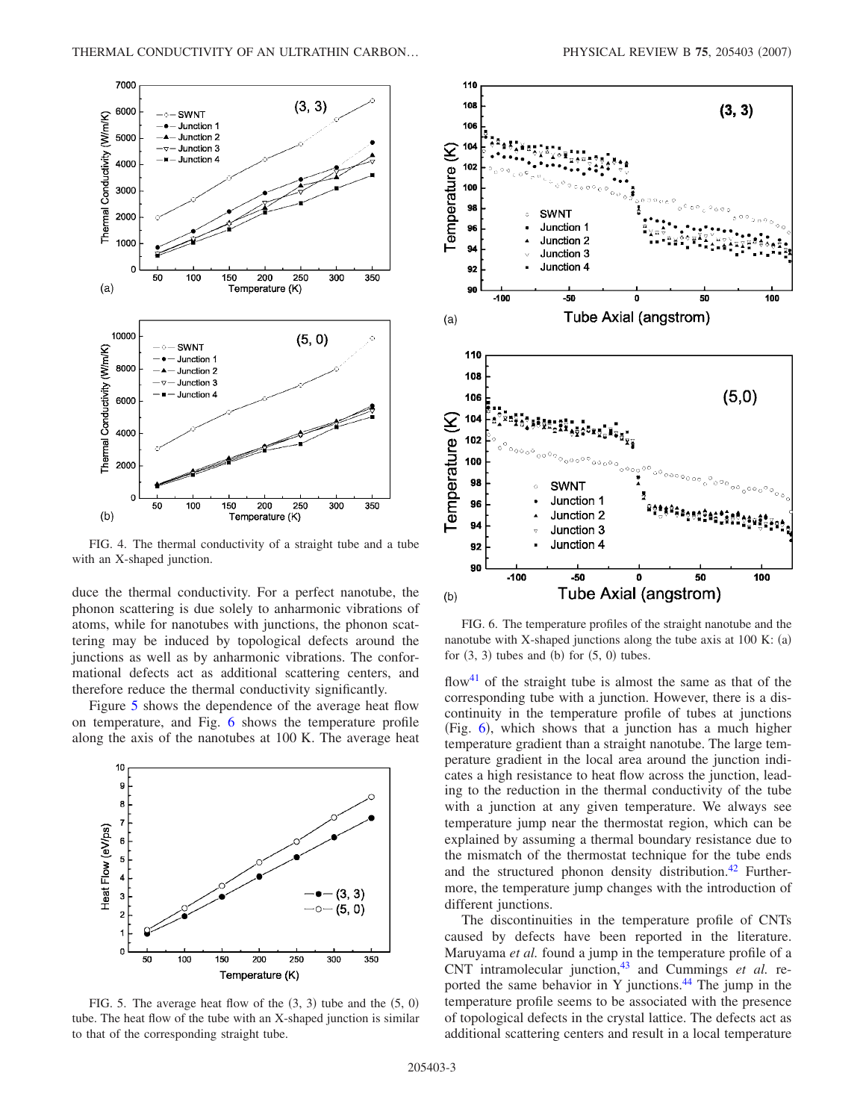<span id="page-2-0"></span>

FIG. 4. The thermal conductivity of a straight tube and a tube with an X-shaped junction.

duce the thermal conductivity. For a perfect nanotube, the phonon scattering is due solely to anharmonic vibrations of atoms, while for nanotubes with junctions, the phonon scattering may be induced by topological defects around the junctions as well as by anharmonic vibrations. The conformational defects act as additional scattering centers, and therefore reduce the thermal conductivity significantly.

Figure [5](#page-2-1) shows the dependence of the average heat flow on temperature, and Fig. [6](#page-2-2) shows the temperature profile along the axis of the nanotubes at 100 K. The average heat

<span id="page-2-1"></span>

FIG. 5. The average heat flow of the  $(3, 3)$  tube and the  $(5, 0)$ tube. The heat flow of the tube with an X-shaped junction is similar to that of the corresponding straight tube.

<span id="page-2-2"></span>

FIG. 6. The temperature profiles of the straight nanotube and the nanotube with X-shaped junctions along the tube axis at  $100$  K:  $(a)$ for  $(3, 3)$  tubes and  $(b)$  for  $(5, 0)$  tubes.

flow<sup>41</sup> of the straight tube is almost the same as that of the corresponding tube with a junction. However, there is a discontinuity in the temperature profile of tubes at junctions (Fig. [6](#page-2-2)), which shows that a junction has a much higher temperature gradient than a straight nanotube. The large temperature gradient in the local area around the junction indicates a high resistance to heat flow across the junction, leading to the reduction in the thermal conductivity of the tube with a junction at any given temperature. We always see temperature jump near the thermostat region, which can be explained by assuming a thermal boundary resistance due to the mismatch of the thermostat technique for the tube ends and the structured phonon density distribution.<sup>42</sup> Furthermore, the temperature jump changes with the introduction of different junctions.

The discontinuities in the temperature profile of CNTs caused by defects have been reported in the literature. Maruyama *et al.* found a jump in the temperature profile of a CNT intramolecular junction,<sup>43</sup> and Cummings *et al.* reported the same behavior in Y junctions. $^{44}$  The jump in the temperature profile seems to be associated with the presence of topological defects in the crystal lattice. The defects act as additional scattering centers and result in a local temperature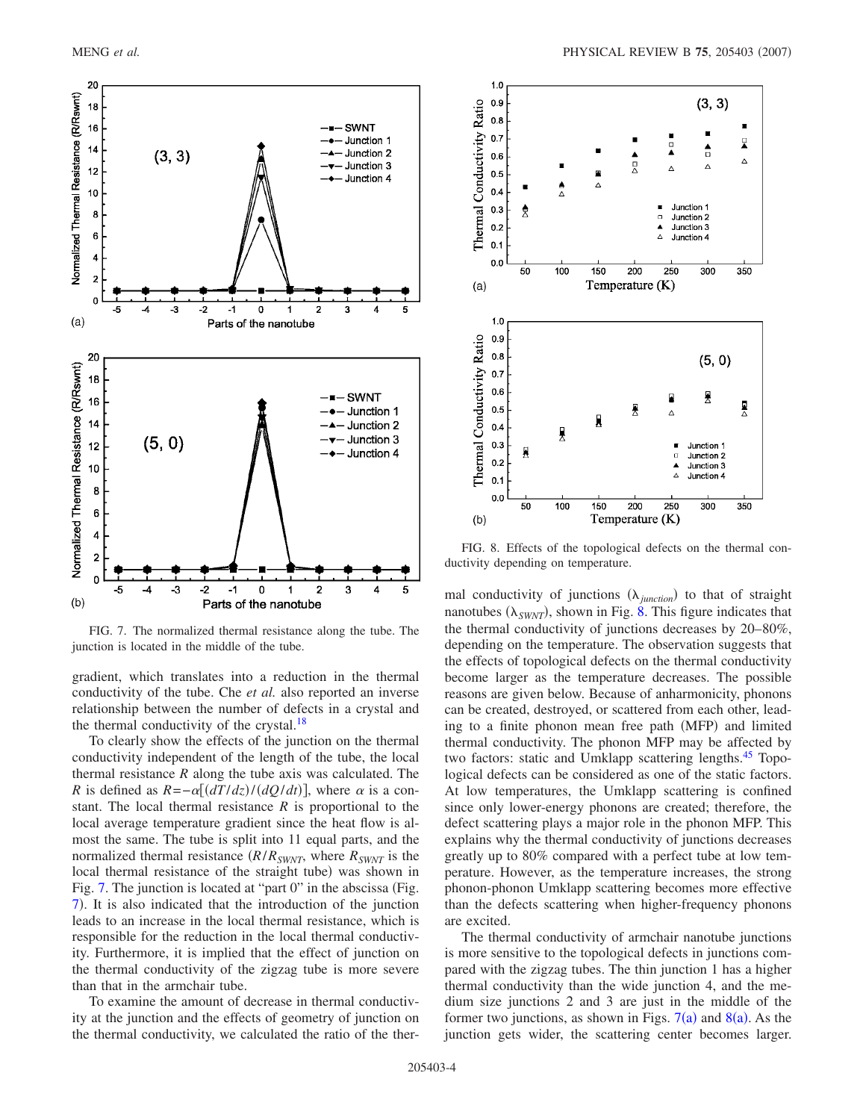<span id="page-3-0"></span>

FIG. 7. The normalized thermal resistance along the tube. The junction is located in the middle of the tube.

gradient, which translates into a reduction in the thermal conductivity of the tube. Che *et al.* also reported an inverse relationship between the number of defects in a crystal and the thermal conductivity of the crystal.<sup>18</sup>

To clearly show the effects of the junction on the thermal conductivity independent of the length of the tube, the local thermal resistance *R* along the tube axis was calculated. The *R* is defined as  $R = -\alpha [(dT/dz)/(dQ/dt)]$ , where  $\alpha$  is a constant. The local thermal resistance *R* is proportional to the local average temperature gradient since the heat flow is almost the same. The tube is split into 11 equal parts, and the normalized thermal resistance  $(R/R_{SWNT}$ , where  $R_{SWNT}$  is the local thermal resistance of the straight tube) was shown in Fig.  $7.$  The junction is located at "part  $0$ " in the abscissa (Fig. [7](#page-3-0)). It is also indicated that the introduction of the junction leads to an increase in the local thermal resistance, which is responsible for the reduction in the local thermal conductivity. Furthermore, it is implied that the effect of junction on the thermal conductivity of the zigzag tube is more severe than that in the armchair tube.

To examine the amount of decrease in thermal conductivity at the junction and the effects of geometry of junction on the thermal conductivity, we calculated the ratio of the ther-

<span id="page-3-1"></span>

FIG. 8. Effects of the topological defects on the thermal conductivity depending on temperature.

mal conductivity of junctions  $(\lambda_{\text{junction}})$  to that of straight nanotubes  $(\lambda_{SWNT})$ , shown in Fig. [8.](#page-3-1) This figure indicates that the thermal conductivity of junctions decreases by 20–80%, depending on the temperature. The observation suggests that the effects of topological defects on the thermal conductivity become larger as the temperature decreases. The possible reasons are given below. Because of anharmonicity, phonons can be created, destroyed, or scattered from each other, leading to a finite phonon mean free path (MFP) and limited thermal conductivity. The phonon MFP may be affected by two factors: static and Umklapp scattering lengths.<sup>45</sup> Topological defects can be considered as one of the static factors. At low temperatures, the Umklapp scattering is confined since only lower-energy phonons are created; therefore, the defect scattering plays a major role in the phonon MFP. This explains why the thermal conductivity of junctions decreases greatly up to 80% compared with a perfect tube at low temperature. However, as the temperature increases, the strong phonon-phonon Umklapp scattering becomes more effective than the defects scattering when higher-frequency phonons are excited.

The thermal conductivity of armchair nanotube junctions is more sensitive to the topological defects in junctions compared with the zigzag tubes. The thin junction 1 has a higher thermal conductivity than the wide junction 4, and the medium size junctions 2 and 3 are just in the middle of the former two junctions, as shown in Figs.  $7(a)$  $7(a)$  and  $8(a)$  $8(a)$ . As the junction gets wider, the scattering center becomes larger.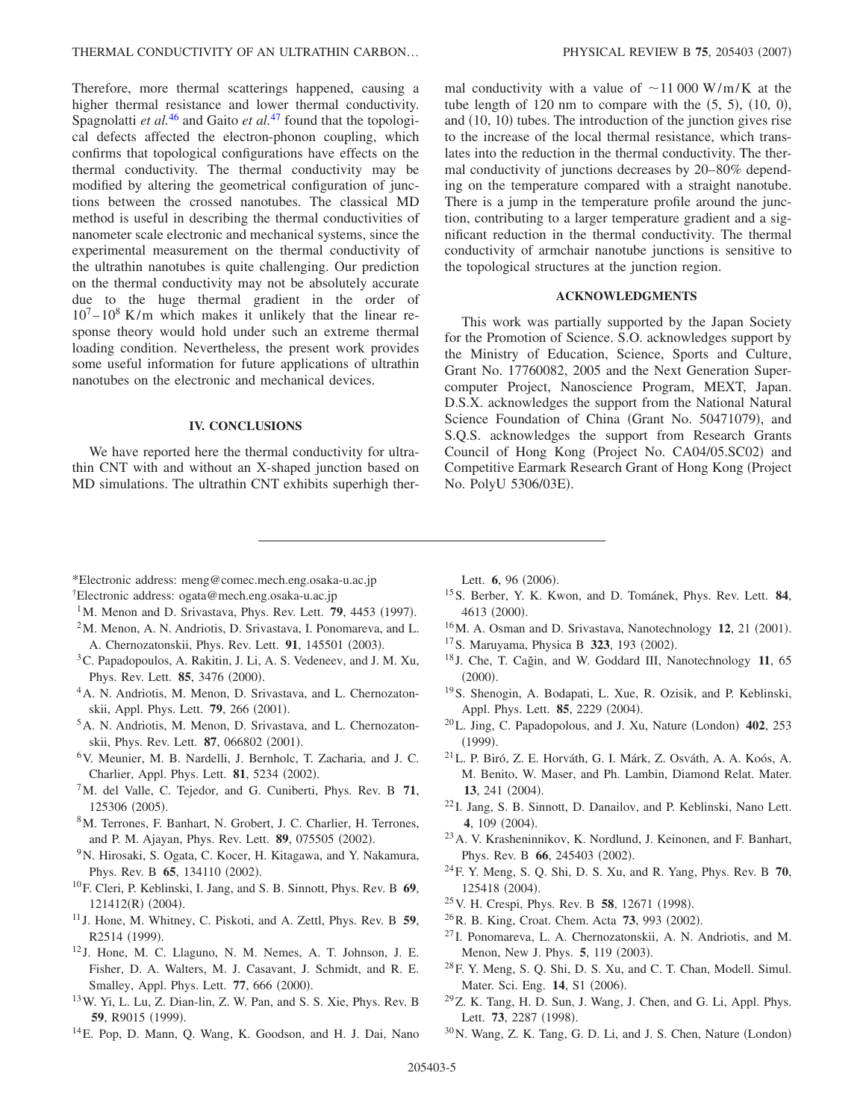Therefore, more thermal scatterings happened, causing a higher thermal resistance and lower thermal conductivity. Spagnolatti *et al.*<sup>[46](#page-5-15)</sup> and Gaito *et al.*<sup>[47](#page-5-16)</sup> found that the topological defects affected the electron-phonon coupling, which confirms that topological configurations have effects on the thermal conductivity. The thermal conductivity may be modified by altering the geometrical configuration of junctions between the crossed nanotubes. The classical MD method is useful in describing the thermal conductivities of nanometer scale electronic and mechanical systems, since the experimental measurement on the thermal conductivity of the ultrathin nanotubes is quite challenging. Our prediction on the thermal conductivity may not be absolutely accurate due to the huge thermal gradient in the order of  $10^7 - 10^8$  K/m which makes it unlikely that the linear response theory would hold under such an extreme thermal loading condition. Nevertheless, the present work provides some useful information for future applications of ultrathin nanotubes on the electronic and mechanical devices.

## **IV. CONCLUSIONS**

We have reported here the thermal conductivity for ultrathin CNT with and without an X-shaped junction based on MD simulations. The ultrathin CNT exhibits superhigh thermal conductivity with a value of  $\sim$ 11 000 W/m/K at the tube length of  $120 \text{ nm}$  to compare with the  $(5, 5)$ ,  $(10, 0)$ , and (10, 10) tubes. The introduction of the junction gives rise to the increase of the local thermal resistance, which translates into the reduction in the thermal conductivity. The thermal conductivity of junctions decreases by 20–80% depending on the temperature compared with a straight nanotube. There is a jump in the temperature profile around the junction, contributing to a larger temperature gradient and a significant reduction in the thermal conductivity. The thermal conductivity of armchair nanotube junctions is sensitive to the topological structures at the junction region.

# **ACKNOWLEDGMENTS**

This work was partially supported by the Japan Society for the Promotion of Science. S.O. acknowledges support by the Ministry of Education, Science, Sports and Culture, Grant No. 17760082, 2005 and the Next Generation Supercomputer Project, Nanoscience Program, MEXT, Japan. D.S.X. acknowledges the support from the National Natural Science Foundation of China (Grant No. 50471079), and S.Q.S. acknowledges the support from Research Grants Council of Hong Kong (Project No. CA04/05.SC02) and Competitive Earmark Research Grant of Hong Kong (Project No. PolyU 5306/03E).

- <span id="page-4-0"></span>\*Electronic address: meng@comec.mech.eng.osaka-u.ac.jp
- <span id="page-4-1"></span>†Electronic address: ogata@mech.eng.osaka-u.ac.jp
- <span id="page-4-2"></span><sup>1</sup>M. Menon and D. Srivastava, Phys. Rev. Lett. **79**, 4453 (1997).
- <span id="page-4-15"></span>2M. Menon, A. N. Andriotis, D. Srivastava, I. Ponomareva, and L. A. Chernozatonskii, Phys. Rev. Lett. 91, 145501 (2003).
- <span id="page-4-20"></span>3C. Papadopoulos, A. Rakitin, J. Li, A. S. Vedeneev, and J. M. Xu, Phys. Rev. Lett. **85**, 3476 (2000).
- 4A. N. Andriotis, M. Menon, D. Srivastava, and L. Chernozatonskii, Appl. Phys. Lett. **79**, 266 (2001).
- <sup>5</sup>A. N. Andriotis, M. Menon, D. Srivastava, and L. Chernozatonskii, Phys. Rev. Lett. 87, 066802 (2001).
- 6V. Meunier, M. B. Nardelli, J. Bernholc, T. Zacharia, and J. C. Charlier, Appl. Phys. Lett. **81**, 5234 (2002).
- <span id="page-4-21"></span>7M. del Valle, C. Tejedor, and G. Cuniberti, Phys. Rev. B **71**, 125306 (2005).
- 8M. Terrones, F. Banhart, N. Grobert, J. C. Charlier, H. Terrones, and P. M. Ajayan, Phys. Rev. Lett. 89, 075505 (2002).
- <span id="page-4-3"></span>9N. Hirosaki, S. Ogata, C. Kocer, H. Kitagawa, and Y. Nakamura, Phys. Rev. B 65, 134110 (2002).
- <span id="page-4-4"></span>10F. Cleri, P. Keblinski, I. Jang, and S. B. Sinnott, Phys. Rev. B **69**, 121412(R) (2004).
- <span id="page-4-5"></span><sup>11</sup> J. Hone, M. Whitney, C. Piskoti, and A. Zettl, Phys. Rev. B **59**, R2514 (1999).
- <sup>12</sup> J. Hone, M. C. Llaguno, N. M. Nemes, A. T. Johnson, J. E. Fisher, D. A. Walters, M. J. Casavant, J. Schmidt, and R. E. Smalley, Appl. Phys. Lett. 77, 666 (2000).
- 13W. Yi, L. Lu, Z. Dian-lin, Z. W. Pan, and S. S. Xie, Phys. Rev. B **59**, R9015 (1999).
- <span id="page-4-6"></span>14E. Pop, D. Mann, Q. Wang, K. Goodson, and H. J. Dai, Nano

Lett. **6**, 96 (2006).

- <span id="page-4-7"></span>15S. Berber, Y. K. Kwon, and D. Tománek, Phys. Rev. Lett. **84**, 4613 (2000).
- <span id="page-4-22"></span><sup>16</sup>M. A. Osman and D. Srivastava, Nanotechnology **12**, 21 (2001).
- <span id="page-4-8"></span><sup>17</sup> S. Maruyama, Physica B **323**, 193 (2002).
- <span id="page-4-9"></span><sup>18</sup> J. Che, T. Cağin, and W. Goddard III, Nanotechnology **11**, 65  $(2000).$
- <span id="page-4-10"></span>19S. Shenogin, A. Bodapati, L. Xue, R. Ozisik, and P. Keblinski, Appl. Phys. Lett. **85**, 2229 (2004).
- <span id="page-4-11"></span>20L. Jing, C. Papadopolous, and J. Xu, Nature London- **402**, 253  $(1999).$
- 21L. P. Biró, Z. E. Horváth, G. I. Márk, Z. Osváth, A. A. Koós, A. M. Benito, W. Maser, and Ph. Lambin, Diamond Relat. Mater. 13, 241 (2004).
- <sup>22</sup> I. Jang, S. B. Sinnott, D. Danailov, and P. Keblinski, Nano Lett. 4, 109 (2004).
- 23A. V. Krasheninnikov, K. Nordlund, J. Keinonen, and F. Banhart, Phys. Rev. B 66, 245403 (2002).
- <span id="page-4-12"></span>24F. Y. Meng, S. Q. Shi, D. S. Xu, and R. Yang, Phys. Rev. B **70**, 125418 (2004).
- <span id="page-4-13"></span><sup>25</sup> V. H. Crespi, Phys. Rev. B **58**, 12671 (1998).
- <span id="page-4-14"></span><sup>26</sup> R. B. King, Croat. Chem. Acta **73**, 993 (2002).
- <span id="page-4-16"></span><sup>27</sup> I. Ponomareva, L. A. Chernozatonskii, A. N. Andriotis, and M. Menon, New J. Phys. 5, 119 (2003).
- <span id="page-4-17"></span>28F. Y. Meng, S. Q. Shi, D. S. Xu, and C. T. Chan, Modell. Simul. Mater. Sci. Eng. 14, S1 (2006).
- <span id="page-4-18"></span>29Z. K. Tang, H. D. Sun, J. Wang, J. Chen, and G. Li, Appl. Phys. Lett. **73**, 2287 (1998).
- <span id="page-4-19"></span> $30$ N. Wang, Z. K. Tang, G. D. Li, and J. S. Chen, Nature (London)